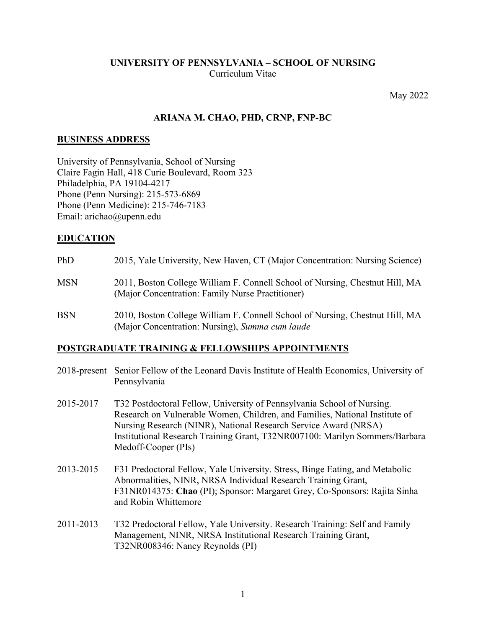#### **UNIVERSITY OF PENNSYLVANIA – SCHOOL OF NURSING** Curriculum Vitae

May 2022

#### **ARIANA M. CHAO, PHD, CRNP, FNP-BC**

#### **BUSINESS ADDRESS**

University of Pennsylvania, School of Nursing Claire Fagin Hall, 418 Curie Boulevard, Room 323 Philadelphia, PA 19104-4217 Phone (Penn Nursing): 215-573-6869 Phone (Penn Medicine): 215-746-7183 Email: arichao@upenn.edu

#### **EDUCATION**

| PhD        | 2015, Yale University, New Haven, CT (Major Concentration: Nursing Science)                                                      |
|------------|----------------------------------------------------------------------------------------------------------------------------------|
| <b>MSN</b> | 2011, Boston College William F. Connell School of Nursing, Chestnut Hill, MA<br>(Major Concentration: Family Nurse Practitioner) |
| <b>BSN</b> | 2010, Boston College William F. Connell School of Nursing, Chestnut Hill, MA                                                     |

## **POSTGRADUATE TRAINING & FELLOWSHIPS APPOINTMENTS**

(Major Concentration: Nursing), *Summa cum laude*

- 2018-present Senior Fellow of the Leonard Davis Institute of Health Economics, University of Pennsylvania
- 2015-2017 T32 Postdoctoral Fellow, University of Pennsylvania School of Nursing. Research on Vulnerable Women, Children, and Families, National Institute of Nursing Research (NINR), National Research Service Award (NRSA) Institutional Research Training Grant, T32NR007100: Marilyn Sommers/Barbara Medoff-Cooper (PIs)
- 2013-2015 F31 Predoctoral Fellow, Yale University. Stress, Binge Eating, and Metabolic Abnormalities, NINR, NRSA Individual Research Training Grant, F31NR014375: **Chao** (PI); Sponsor: Margaret Grey, Co-Sponsors: Rajita Sinha and Robin Whittemore
- 2011-2013 T32 Predoctoral Fellow, Yale University. Research Training: Self and Family Management, NINR, NRSA Institutional Research Training Grant, T32NR008346: Nancy Reynolds (PI)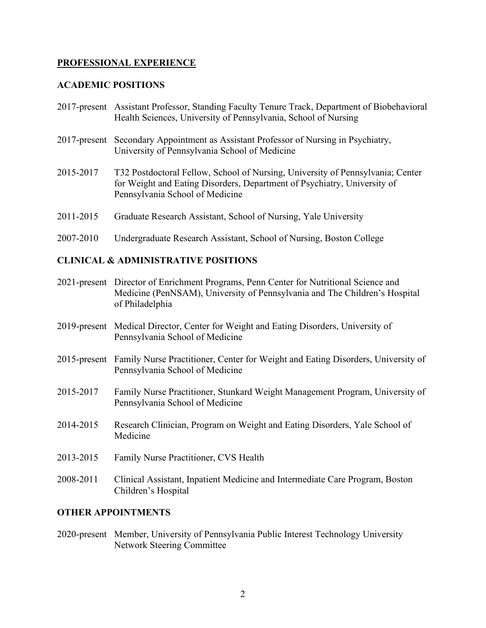#### **PROFESSIONAL EXPERIENCE**

#### **ACADEMIC POSITIONS**

- 2017-present Assistant Professor, Standing Faculty Tenure Track, Department of Biobehavioral Health Sciences, University of Pennsylvania, School of Nursing
- 2017-present Secondary Appointment as Assistant Professor of Nursing in Psychiatry, University of Pennsylvania School of Medicine
- 2015-2017 T32 Postdoctoral Fellow, School of Nursing, University of Pennsylvania; Center for Weight and Eating Disorders, Department of Psychiatry, University of Pennsylvania School of Medicine
- 2011-2015 Graduate Research Assistant, School of Nursing, Yale University
- 2007-2010 Undergraduate Research Assistant, School of Nursing, Boston College

#### **CLINICAL & ADMINISTRATIVE POSITIONS**

- 2021-present Director of Enrichment Programs, Penn Center for Nutritional Science and Medicine (PenNSAM), University of Pennsylvania and The Children's Hospital of Philadelphia
- 2019-present Medical Director, Center for Weight and Eating Disorders, University of Pennsylvania School of Medicine
- 2015-present Family Nurse Practitioner, Center for Weight and Eating Disorders, University of Pennsylvania School of Medicine
- 2015-2017 Family Nurse Practitioner, Stunkard Weight Management Program, University of Pennsylvania School of Medicine
- 2014-2015 Research Clinician, Program on Weight and Eating Disorders, Yale School of Medicine
- 2013-2015 Family Nurse Practitioner, CVS Health
- 2008-2011 Clinical Assistant, Inpatient Medicine and Intermediate Care Program, Boston Children's Hospital

#### **OTHER APPOINTMENTS**

2020-present Member, University of Pennsylvania Public Interest Technology University Network Steering Committee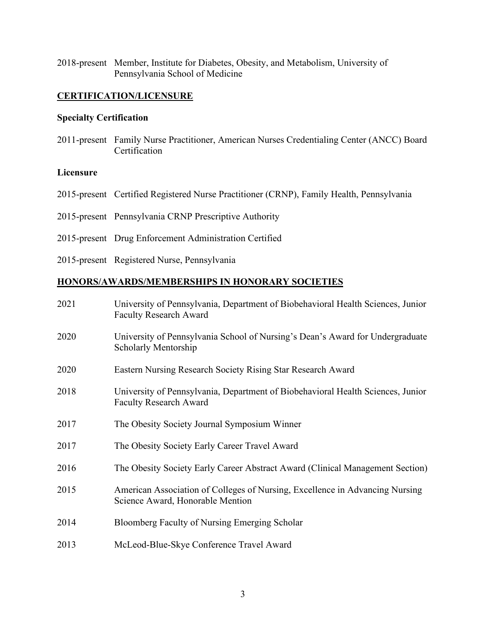2018-present Member, Institute for Diabetes, Obesity, and Metabolism, University of Pennsylvania School of Medicine

#### **CERTIFICATION/LICENSURE**

#### **Specialty Certification**

2011-present Family Nurse Practitioner, American Nurses Credentialing Center (ANCC) Board Certification

#### **Licensure**

- 2015-present Certified Registered Nurse Practitioner (CRNP), Family Health, Pennsylvania
- 2015-present Pennsylvania CRNP Prescriptive Authority
- 2015-present Drug Enforcement Administration Certified
- 2015-present Registered Nurse, Pennsylvania

#### **HONORS/AWARDS/MEMBERSHIPS IN HONORARY SOCIETIES**

| 2021 | University of Pennsylvania, Department of Biobehavioral Health Sciences, Junior<br><b>Faculty Research Award</b> |
|------|------------------------------------------------------------------------------------------------------------------|
| 2020 | University of Pennsylvania School of Nursing's Dean's Award for Undergraduate<br><b>Scholarly Mentorship</b>     |
| 2020 | Eastern Nursing Research Society Rising Star Research Award                                                      |
| 2018 | University of Pennsylvania, Department of Biobehavioral Health Sciences, Junior<br><b>Faculty Research Award</b> |
| 2017 | The Obesity Society Journal Symposium Winner                                                                     |
| 2017 | The Obesity Society Early Career Travel Award                                                                    |
| 2016 | The Obesity Society Early Career Abstract Award (Clinical Management Section)                                    |
| 2015 | American Association of Colleges of Nursing, Excellence in Advancing Nursing<br>Science Award, Honorable Mention |
| 2014 | Bloomberg Faculty of Nursing Emerging Scholar                                                                    |
| 2013 | McLeod-Blue-Skye Conference Travel Award                                                                         |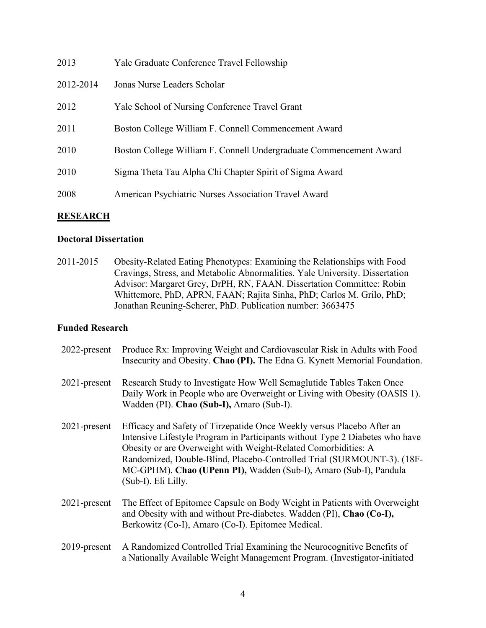| 2013      | Yale Graduate Conference Travel Fellowship                         |
|-----------|--------------------------------------------------------------------|
| 2012-2014 | Jonas Nurse Leaders Scholar                                        |
| 2012      | Yale School of Nursing Conference Travel Grant                     |
| 2011      | Boston College William F. Connell Commencement Award               |
| 2010      | Boston College William F. Connell Undergraduate Commencement Award |
| 2010      | Sigma Theta Tau Alpha Chi Chapter Spirit of Sigma Award            |
| 2008      | American Psychiatric Nurses Association Travel Award               |
|           |                                                                    |

#### **RESEARCH**

#### **Doctoral Dissertation**

2011-2015 Obesity-Related Eating Phenotypes: Examining the Relationships with Food Cravings, Stress, and Metabolic Abnormalities. Yale University. Dissertation Advisor: Margaret Grey, DrPH, RN, FAAN. Dissertation Committee: Robin Whittemore, PhD, APRN, FAAN; Rajita Sinha, PhD; Carlos M. Grilo, PhD; Jonathan Reuning-Scherer, PhD. Publication number: 3663475

#### **Funded Research**

| 2022-present    | Produce Rx: Improving Weight and Cardiovascular Risk in Adults with Food<br>Insecurity and Obesity. Chao (PI). The Edna G. Kynett Memorial Foundation.                                                                                                                                                                                                                                         |
|-----------------|------------------------------------------------------------------------------------------------------------------------------------------------------------------------------------------------------------------------------------------------------------------------------------------------------------------------------------------------------------------------------------------------|
| $2021$ -present | Research Study to Investigate How Well Semaglutide Tables Taken Once<br>Daily Work in People who are Overweight or Living with Obesity (OASIS 1).<br>Wadden (PI). Chao (Sub-I), Amaro (Sub-I).                                                                                                                                                                                                 |
| $2021$ -present | Efficacy and Safety of Tirzepatide Once Weekly versus Placebo After an<br>Intensive Lifestyle Program in Participants without Type 2 Diabetes who have<br>Obesity or are Overweight with Weight-Related Comorbidities: A<br>Randomized, Double-Blind, Placebo-Controlled Trial (SURMOUNT-3). (18F-<br>MC-GPHM). Chao (UPenn PI), Wadden (Sub-I), Amaro (Sub-I), Pandula<br>(Sub-I). Eli Lilly. |
| $2021$ -present | The Effect of Epitomee Capsule on Body Weight in Patients with Overweight<br>and Obesity with and without Pre-diabetes. Wadden (PI), Chao (Co-I),<br>Berkowitz (Co-I), Amaro (Co-I). Epitomee Medical.                                                                                                                                                                                         |
| $2019$ -present | A Randomized Controlled Trial Examining the Neurocognitive Benefits of<br>a Nationally Available Weight Management Program. (Investigator-initiated                                                                                                                                                                                                                                            |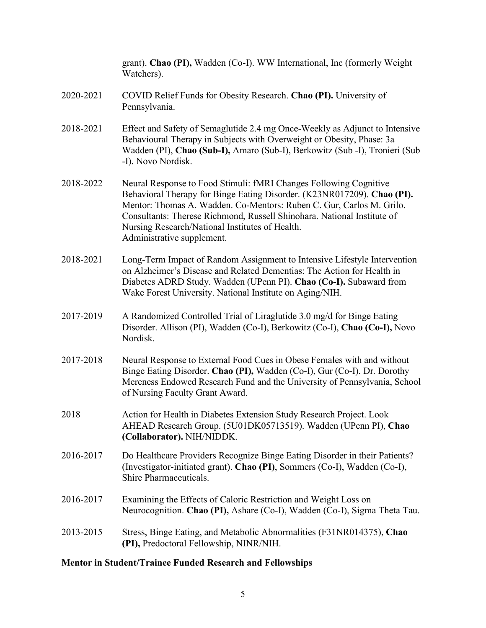|           | grant). Chao (PI), Wadden (Co-I). WW International, Inc (formerly Weight<br>Watchers).                                                                                                                                                                                                                                                                                           |
|-----------|----------------------------------------------------------------------------------------------------------------------------------------------------------------------------------------------------------------------------------------------------------------------------------------------------------------------------------------------------------------------------------|
| 2020-2021 | COVID Relief Funds for Obesity Research. Chao (PI). University of<br>Pennsylvania.                                                                                                                                                                                                                                                                                               |
| 2018-2021 | Effect and Safety of Semaglutide 2.4 mg Once-Weekly as Adjunct to Intensive<br>Behavioural Therapy in Subjects with Overweight or Obesity, Phase: 3a<br>Wadden (PI), Chao (Sub-I), Amaro (Sub-I), Berkowitz (Sub-I), Tronieri (Sub<br>-I). Novo Nordisk.                                                                                                                         |
| 2018-2022 | Neural Response to Food Stimuli: fMRI Changes Following Cognitive<br>Behavioral Therapy for Binge Eating Disorder. (K23NR017209). Chao (PI).<br>Mentor: Thomas A. Wadden. Co-Mentors: Ruben C. Gur, Carlos M. Grilo.<br>Consultants: Therese Richmond, Russell Shinohara. National Institute of<br>Nursing Research/National Institutes of Health.<br>Administrative supplement. |
| 2018-2021 | Long-Term Impact of Random Assignment to Intensive Lifestyle Intervention<br>on Alzheimer's Disease and Related Dementias: The Action for Health in<br>Diabetes ADRD Study. Wadden (UPenn PI). Chao (Co-I). Subaward from<br>Wake Forest University. National Institute on Aging/NIH.                                                                                            |
| 2017-2019 | A Randomized Controlled Trial of Liraglutide 3.0 mg/d for Binge Eating<br>Disorder. Allison (PI), Wadden (Co-I), Berkowitz (Co-I), Chao (Co-I), Novo<br>Nordisk.                                                                                                                                                                                                                 |
| 2017-2018 | Neural Response to External Food Cues in Obese Females with and without<br>Binge Eating Disorder. Chao (PI), Wadden (Co-I), Gur (Co-I). Dr. Dorothy<br>Mereness Endowed Research Fund and the University of Pennsylvania, School<br>of Nursing Faculty Grant Award.                                                                                                              |
| 2018      | Action for Health in Diabetes Extension Study Research Project. Look<br>AHEAD Research Group. (5U01DK05713519). Wadden (UPenn PI), Chao<br>(Collaborator). NIH/NIDDK.                                                                                                                                                                                                            |
| 2016-2017 | Do Healthcare Providers Recognize Binge Eating Disorder in their Patients?<br>(Investigator-initiated grant). Chao (PI), Sommers (Co-I), Wadden (Co-I),<br>Shire Pharmaceuticals.                                                                                                                                                                                                |
| 2016-2017 | Examining the Effects of Caloric Restriction and Weight Loss on<br>Neurocognition. Chao (PI), Ashare (Co-I), Wadden (Co-I), Sigma Theta Tau.                                                                                                                                                                                                                                     |
| 2013-2015 | Stress, Binge Eating, and Metabolic Abnormalities (F31NR014375), Chao<br>(PI), Predoctoral Fellowship, NINR/NIH.                                                                                                                                                                                                                                                                 |
|           |                                                                                                                                                                                                                                                                                                                                                                                  |

## **Mentor in Student/Trainee Funded Research and Fellowships**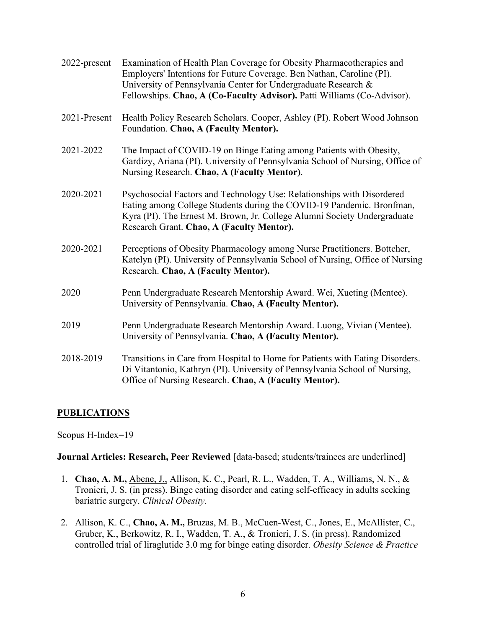| 2022-present | Examination of Health Plan Coverage for Obesity Pharmacotherapies and<br>Employers' Intentions for Future Coverage. Ben Nathan, Caroline (PI).<br>University of Pennsylvania Center for Undergraduate Research &<br>Fellowships. Chao, A (Co-Faculty Advisor). Patti Williams (Co-Advisor). |
|--------------|---------------------------------------------------------------------------------------------------------------------------------------------------------------------------------------------------------------------------------------------------------------------------------------------|
| 2021-Present | Health Policy Research Scholars. Cooper, Ashley (PI). Robert Wood Johnson<br>Foundation. Chao, A (Faculty Mentor).                                                                                                                                                                          |
| 2021-2022    | The Impact of COVID-19 on Binge Eating among Patients with Obesity,<br>Gardizy, Ariana (PI). University of Pennsylvania School of Nursing, Office of<br>Nursing Research. Chao, A (Faculty Mentor).                                                                                         |
| 2020-2021    | Psychosocial Factors and Technology Use: Relationships with Disordered<br>Eating among College Students during the COVID-19 Pandemic. Bronfman,<br>Kyra (PI). The Ernest M. Brown, Jr. College Alumni Society Undergraduate<br>Research Grant. Chao, A (Faculty Mentor).                    |
| 2020-2021    | Perceptions of Obesity Pharmacology among Nurse Practitioners. Bottcher,<br>Katelyn (PI). University of Pennsylvania School of Nursing, Office of Nursing<br>Research. Chao, A (Faculty Mentor).                                                                                            |
| 2020         | Penn Undergraduate Research Mentorship Award. Wei, Xueting (Mentee).<br>University of Pennsylvania. Chao, A (Faculty Mentor).                                                                                                                                                               |
| 2019         | Penn Undergraduate Research Mentorship Award. Luong, Vivian (Mentee).<br>University of Pennsylvania. Chao, A (Faculty Mentor).                                                                                                                                                              |
| 2018-2019    | Transitions in Care from Hospital to Home for Patients with Eating Disorders.<br>Di Vitantonio, Kathryn (PI). University of Pennsylvania School of Nursing,<br>Office of Nursing Research. Chao, A (Faculty Mentor).                                                                        |

#### **PUBLICATIONS**

Scopus H-Index=19

**Journal Articles: Research, Peer Reviewed** [data-based; students/trainees are underlined]

- 1. **Chao, A. M.,** Abene, J., Allison, K. C., Pearl, R. L., Wadden, T. A., Williams, N. N., & Tronieri, J. S. (in press). Binge eating disorder and eating self-efficacy in adults seeking bariatric surgery. *Clinical Obesity.*
- 2. Allison, K. C., **Chao, A. M.,** Bruzas, M. B., McCuen-West, C., Jones, E., McAllister, C., Gruber, K., Berkowitz, R. I., Wadden, T. A., & Tronieri, J. S. (in press). Randomized controlled trial of liraglutide 3.0 mg for binge eating disorder. *Obesity Science & Practice*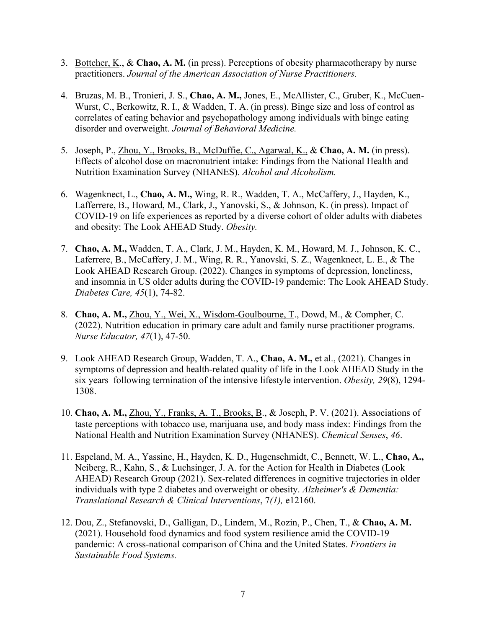- 3. Bottcher, K., & **Chao, A. M.** (in press). Perceptions of obesity pharmacotherapy by nurse practitioners. *Journal of the American Association of Nurse Practitioners.*
- 4. Bruzas, M. B., Tronieri, J. S., **Chao, A. M.,** Jones, E., McAllister, C., Gruber, K., McCuen-Wurst, C., Berkowitz, R. I., & Wadden, T. A. (in press). Binge size and loss of control as correlates of eating behavior and psychopathology among individuals with binge eating disorder and overweight. *Journal of Behavioral Medicine.*
- 5. Joseph, P., Zhou, Y., Brooks, B., McDuffie, C., Agarwal, K., & **Chao, A. M.** (in press). Effects of alcohol dose on macronutrient intake: Findings from the National Health and Nutrition Examination Survey (NHANES). *Alcohol and Alcoholism.*
- 6. Wagenknect, L., **Chao, A. M.,** Wing, R. R., Wadden, T. A., McCaffery, J., Hayden, K., Lafferrere, B., Howard, M., Clark, J., Yanovski, S., & Johnson, K. (in press). Impact of COVID-19 on life experiences as reported by a diverse cohort of older adults with diabetes and obesity: The Look AHEAD Study. *Obesity.*
- 7. **Chao, A. M.,** Wadden, T. A., Clark, J. M., Hayden, K. M., Howard, M. J., Johnson, K. C., Laferrere, B., McCaffery, J. M., Wing, R. R., Yanovski, S. Z., Wagenknect, L. E., & The Look AHEAD Research Group. (2022). Changes in symptoms of depression, loneliness, and insomnia in US older adults during the COVID-19 pandemic: The Look AHEAD Study. *Diabetes Care, 45*(1), 74-82.
- 8. **Chao, A. M.,** Zhou, Y., Wei, X., Wisdom-Goulbourne, T., Dowd, M., & Compher, C. (2022). Nutrition education in primary care adult and family nurse practitioner programs. *Nurse Educator, 47*(1), 47-50.
- 9. Look AHEAD Research Group, Wadden, T. A., **Chao, A. M.,** et al., (2021). Changes in symptoms of depression and health-related quality of life in the Look AHEAD Study in the six years following termination of the intensive lifestyle intervention. *Obesity, 29*(8), 1294- 1308.
- 10. **Chao, A. M.,** Zhou, Y., Franks, A. T., Brooks, B., & Joseph, P. V. (2021). Associations of taste perceptions with tobacco use, marijuana use, and body mass index: Findings from the National Health and Nutrition Examination Survey (NHANES). *Chemical Senses*, *46*.
- 11. Espeland, M. A., Yassine, H., Hayden, K. D., Hugenschmidt, C., Bennett, W. L., **Chao, A.,**  Neiberg, R., Kahn, S., & Luchsinger, J. A. for the Action for Health in Diabetes (Look AHEAD) Research Group (2021). Sex-related differences in cognitive trajectories in older individuals with type 2 diabetes and overweight or obesity. *Alzheimer's & Dementia: Translational Research & Clinical Interventions*, 7*(1),* e12160.
- 12. Dou, Z., Stefanovski, D., Galligan, D., Lindem, M., Rozin, P., Chen, T., & **Chao, A. M.** (2021). Household food dynamics and food system resilience amid the COVID-19 pandemic: A cross-national comparison of China and the United States. *Frontiers in Sustainable Food Systems.*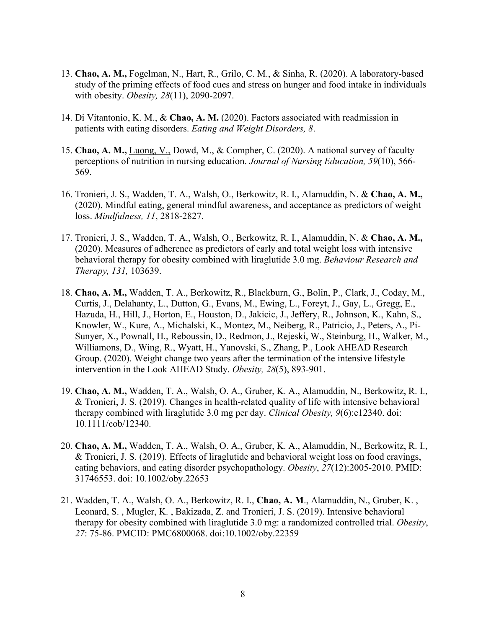- 13. **Chao, A. M.,** Fogelman, N., Hart, R., Grilo, C. M., & Sinha, R. (2020). A laboratory-based study of the priming effects of food cues and stress on hunger and food intake in individuals with obesity. *Obesity, 28*(11), 2090-2097.
- 14. Di Vitantonio, K. M., & **Chao, A. M.** (2020). Factors associated with readmission in patients with eating disorders. *Eating and Weight Disorders, 8*.
- 15. **Chao, A. M.,** Luong, V., Dowd, M., & Compher, C. (2020). A national survey of faculty perceptions of nutrition in nursing education. *Journal of Nursing Education, 59*(10), 566- 569.
- 16. Tronieri, J. S., Wadden, T. A., Walsh, O., Berkowitz, R. I., Alamuddin, N. & **Chao, A. M.,**  (2020). Mindful eating, general mindful awareness, and acceptance as predictors of weight loss. *Mindfulness, 11*, 2818-2827.
- 17. Tronieri, J. S., Wadden, T. A., Walsh, O., Berkowitz, R. I., Alamuddin, N. & **Chao, A. M.,**  (2020). Measures of adherence as predictors of early and total weight loss with intensive behavioral therapy for obesity combined with liraglutide 3.0 mg. *Behaviour Research and Therapy, 131,* 103639.
- 18. **Chao, A. M.,** Wadden, T. A., Berkowitz, R., Blackburn, G., Bolin, P., Clark, J., Coday, M., Curtis, J., Delahanty, L., Dutton, G., Evans, M., Ewing, L., Foreyt, J., Gay, L., Gregg, E., Hazuda, H., Hill, J., Horton, E., Houston, D., Jakicic, J., Jeffery, R., Johnson, K., Kahn, S., Knowler, W., Kure, A., Michalski, K., Montez, M., Neiberg, R., Patricio, J., Peters, A., Pi-Sunyer, X., Pownall, H., Reboussin, D., Redmon, J., Rejeski, W., Steinburg, H., Walker, M., Williamons, D., Wing, R., Wyatt, H., Yanovski, S., Zhang, P., Look AHEAD Research Group. (2020). Weight change two years after the termination of the intensive lifestyle intervention in the Look AHEAD Study. *Obesity, 28*(5), 893-901.
- 19. **Chao, A. M.,** Wadden, T. A., Walsh, O. A., Gruber, K. A., Alamuddin, N., Berkowitz, R. I., & Tronieri, J. S. (2019). Changes in health-related quality of life with intensive behavioral therapy combined with liraglutide 3.0 mg per day. *Clinical Obesity, 9*(6):e12340. doi: 10.1111/cob/12340.
- 20. **Chao, A. M.,** Wadden, T. A., Walsh, O. A., Gruber, K. A., Alamuddin, N., Berkowitz, R. I., & Tronieri, J. S. (2019). Effects of liraglutide and behavioral weight loss on food cravings, eating behaviors, and eating disorder psychopathology. *Obesity*, *27*(12):2005-2010. PMID: 31746553. doi: 10.1002/oby.22653
- 21. Wadden, T. A., Walsh, O. A., Berkowitz, R. I., **Chao, A. M**., Alamuddin, N., Gruber, K. , Leonard, S. , Mugler, K. , Bakizada, Z. and Tronieri, J. S. (2019). Intensive behavioral therapy for obesity combined with liraglutide 3.0 mg: a randomized controlled trial. *Obesity*, *27*: 75-86. PMCID: PMC6800068. doi:10.1002/oby.22359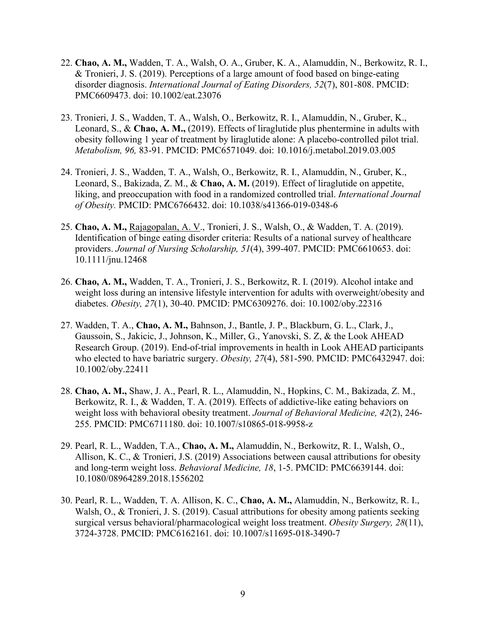- 22. **Chao, A. M.,** Wadden, T. A., Walsh, O. A., Gruber, K. A., Alamuddin, N., Berkowitz, R. I., & Tronieri, J. S. (2019). Perceptions of a large amount of food based on binge-eating disorder diagnosis. *International Journal of Eating Disorders, 52*(7), 801-808. PMCID: PMC6609473. doi: 10.1002/eat.23076
- 23. Tronieri, J. S., Wadden, T. A., Walsh, O., Berkowitz, R. I., Alamuddin, N., Gruber, K., Leonard, S., & **Chao, A. M.,** (2019). Effects of liraglutide plus phentermine in adults with obesity following 1 year of treatment by liraglutide alone: A placebo-controlled pilot trial. *Metabolism, 96,* 83-91. PMCID: PMC6571049. doi: 10.1016/j.metabol.2019.03.005
- 24. Tronieri, J. S., Wadden, T. A., Walsh, O., Berkowitz, R. I., Alamuddin, N., Gruber, K., Leonard, S., Bakizada, Z. M., & **Chao, A. M.** (2019). Effect of liraglutide on appetite, liking, and preoccupation with food in a randomized controlled trial. *International Journal of Obesity.* PMCID: PMC6766432. doi: 10.1038/s41366-019-0348-6
- 25. **Chao, A. M.,** Rajagopalan, A. V., Tronieri, J. S., Walsh, O., & Wadden, T. A. (2019). Identification of binge eating disorder criteria: Results of a national survey of healthcare providers. *Journal of Nursing Scholarship, 51*(4), 399-407. PMCID: PMC6610653. doi: 10.1111/jnu.12468
- 26. **Chao, A. M.,** Wadden, T. A., Tronieri, J. S., Berkowitz, R. I. (2019). Alcohol intake and weight loss during an intensive lifestyle intervention for adults with overweight/obesity and diabetes. *Obesity, 27*(1), 30-40. PMCID: PMC6309276. doi: 10.1002/oby.22316
- 27. Wadden, T. A., **Chao, A. M.,** Bahnson, J., Bantle, J. P., Blackburn, G. L., Clark, J., Gaussoin, S., Jakicic, J., Johnson, K., Miller, G., Yanovski, S. Z, & the Look AHEAD Research Group. (2019). End-of-trial improvements in health in Look AHEAD participants who elected to have bariatric surgery. *Obesity, 27*(4), 581-590. PMCID: PMC6432947. doi: 10.1002/oby.22411
- 28. **Chao, A. M.,** Shaw, J. A., Pearl, R. L., Alamuddin, N., Hopkins, C. M., Bakizada, Z. M., Berkowitz, R. I., & Wadden, T. A. (2019). Effects of addictive-like eating behaviors on weight loss with behavioral obesity treatment. *Journal of Behavioral Medicine, 42*(2), 246- 255. PMCID: PMC6711180. doi: 10.1007/s10865-018-9958-z
- 29. Pearl, R. L., Wadden, T.A., **Chao, A. M.,** Alamuddin, N., Berkowitz, R. I., Walsh, O., Allison, K. C., & Tronieri, J.S. (2019) Associations between causal attributions for obesity and long-term weight loss. *Behavioral Medicine, 18*, 1-5. PMCID: PMC6639144. doi: 10.1080/08964289.2018.1556202
- 30. Pearl, R. L., Wadden, T. A. Allison, K. C., **Chao, A. M.,** Alamuddin, N., Berkowitz, R. I., Walsh, O., & Tronieri, J. S. (2019). Casual attributions for obesity among patients seeking surgical versus behavioral/pharmacological weight loss treatment. *Obesity Surgery, 28*(11), 3724-3728. PMCID: PMC6162161. doi: 10.1007/s11695-018-3490-7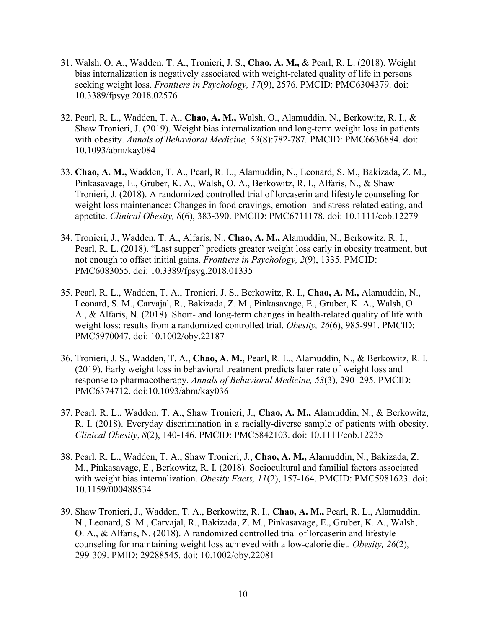- 31. Walsh, O. A., Wadden, T. A., Tronieri, J. S., **Chao, A. M.,** & Pearl, R. L. (2018). Weight bias internalization is negatively associated with weight-related quality of life in persons seeking weight loss. *Frontiers in Psychology, 17*(9), 2576. PMCID: PMC6304379. doi: 10.3389/fpsyg.2018.02576
- 32. Pearl, R. L., Wadden, T. A., **Chao, A. M.,** Walsh, O., Alamuddin, N., Berkowitz, R. I., & Shaw Tronieri, J. (2019). Weight bias internalization and long-term weight loss in patients with obesity. *Annals of Behavioral Medicine, 53*(8):782-787*.* PMCID: PMC6636884. doi: 10.1093/abm/kay084
- 33. **Chao, A. M.,** Wadden, T. A., Pearl, R. L., Alamuddin, N., Leonard, S. M., Bakizada, Z. M., Pinkasavage, E., Gruber, K. A., Walsh, O. A., Berkowitz, R. I., Alfaris, N., & Shaw Tronieri, J. (2018). A randomized controlled trial of lorcaserin and lifestyle counseling for weight loss maintenance: Changes in food cravings, emotion- and stress-related eating, and appetite. *Clinical Obesity, 8*(6), 383-390. PMCID: PMC6711178. doi: 10.1111/cob.12279
- 34. Tronieri, J., Wadden, T. A., Alfaris, N., **Chao, A. M.,** Alamuddin, N., Berkowitz, R. I., Pearl, R. L. (2018). "Last supper" predicts greater weight loss early in obesity treatment, but not enough to offset initial gains. *Frontiers in Psychology, 2*(9), 1335. PMCID: PMC6083055. doi: 10.3389/fpsyg.2018.01335
- 35. Pearl, R. L., Wadden, T. A., Tronieri, J. S., Berkowitz, R. I., **Chao, A. M.,** Alamuddin, N., Leonard, S. M., Carvajal, R., Bakizada, Z. M., Pinkasavage, E., Gruber, K. A., Walsh, O. A., & Alfaris, N. (2018). Short- and long-term changes in health-related quality of life with weight loss: results from a randomized controlled trial. *Obesity, 26*(6), 985-991. PMCID: PMC5970047. doi: 10.1002/oby.22187
- 36. Tronieri, J. S., Wadden, T. A., **Chao, A. M.**, Pearl, R. L., Alamuddin, N., & Berkowitz, R. I. (2019). Early weight loss in behavioral treatment predicts later rate of weight loss and response to pharmacotherapy. *Annals of Behavioral Medicine, 53*(3), 290–295. PMCID: PMC6374712. doi:10.1093/abm/kay036
- 37. Pearl, R. L., Wadden, T. A., Shaw Tronieri, J., **Chao, A. M.,** Alamuddin, N., & Berkowitz, R. I. (2018). Everyday discrimination in a racially-diverse sample of patients with obesity. *Clinical Obesity*, *8*(2), 140-146. PMCID: PMC5842103. doi: 10.1111/cob.12235
- 38. Pearl, R. L., Wadden, T. A., Shaw Tronieri, J., **Chao, A. M.,** Alamuddin, N., Bakizada, Z. M., Pinkasavage, E., Berkowitz, R. I. (2018). Sociocultural and familial factors associated with weight bias internalization. *Obesity Facts, 11*(2), 157-164. PMCID: PMC5981623. doi: 10.1159/000488534
- 39. Shaw Tronieri, J., Wadden, T. A., Berkowitz, R. I., **Chao, A. M.,** Pearl, R. L., Alamuddin, N., Leonard, S. M., Carvajal, R., Bakizada, Z. M., Pinkasavage, E., Gruber, K. A., Walsh, O. A., & Alfaris, N. (2018). A randomized controlled trial of lorcaserin and lifestyle counseling for maintaining weight loss achieved with a low-calorie diet. *Obesity, 26*(2), 299-309. PMID: 29288545. doi: 10.1002/oby.22081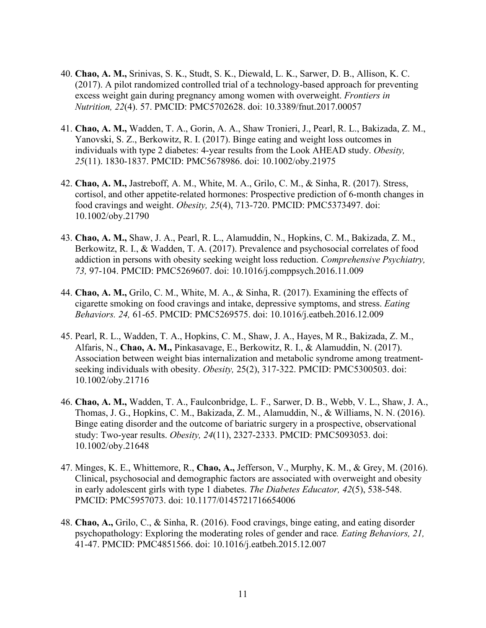- 40. **Chao, A. M.,** Srinivas, S. K., Studt, S. K., Diewald, L. K., Sarwer, D. B., Allison, K. C. (2017). A pilot randomized controlled trial of a technology-based approach for preventing excess weight gain during pregnancy among women with overweight. *Frontiers in Nutrition, 22*(4). 57. PMCID: PMC5702628. doi: 10.3389/fnut.2017.00057
- 41. **Chao, A. M.,** Wadden, T. A., Gorin, A. A., Shaw Tronieri, J., Pearl, R. L., Bakizada, Z. M., Yanovski, S. Z., Berkowitz, R. I. (2017). Binge eating and weight loss outcomes in individuals with type 2 diabetes: 4-year results from the Look AHEAD study. *Obesity, 25*(11). 1830-1837. PMCID: PMC5678986. doi: 10.1002/oby.21975
- 42. **Chao, A. M.,** Jastreboff, A. M., White, M. A., Grilo, C. M., & Sinha, R. (2017). Stress, cortisol, and other appetite-related hormones: Prospective prediction of 6-month changes in food cravings and weight. *Obesity, 25*(4), 713-720. PMCID: PMC5373497. doi: 10.1002/oby.21790
- 43. **Chao, A. M.,** Shaw, J. A., Pearl, R. L., Alamuddin, N., Hopkins, C. M., Bakizada, Z. M., Berkowitz, R. I., & Wadden, T. A. (2017). Prevalence and psychosocial correlates of food addiction in persons with obesity seeking weight loss reduction. *Comprehensive Psychiatry, 73,* 97-104. PMCID: PMC5269607. doi: 10.1016/j.comppsych.2016.11.009
- 44. **Chao, A. M.,** Grilo, C. M., White, M. A., & Sinha, R. (2017). Examining the effects of cigarette smoking on food cravings and intake, depressive symptoms, and stress. *Eating Behaviors. 24,* 61-65. PMCID: PMC5269575. doi: 10.1016/j.eatbeh.2016.12.009
- 45. Pearl, R. L., Wadden, T. A., Hopkins, C. M., Shaw, J. A., Hayes, M R., Bakizada, Z. M., Alfaris, N., **Chao, A. M.,** Pinkasavage, E., Berkowitz, R. I., & Alamuddin, N. (2017). Association between weight bias internalization and metabolic syndrome among treatmentseeking individuals with obesity. *Obesity,* 25(2), 317-322. PMCID: PMC5300503. doi: 10.1002/oby.21716
- 46. **Chao, A. M.,** Wadden, T. A., Faulconbridge, L. F., Sarwer, D. B., Webb, V. L., Shaw, J. A., Thomas, J. G., Hopkins, C. M., Bakizada, Z. M., Alamuddin, N., & Williams, N. N. (2016). Binge eating disorder and the outcome of bariatric surgery in a prospective, observational study: Two-year results. *Obesity, 24*(11), 2327-2333. PMCID: PMC5093053. doi: 10.1002/oby.21648
- 47. Minges, K. E., Whittemore, R., **Chao, A.,** Jefferson, V., Murphy, K. M., & Grey, M. (2016). Clinical, psychosocial and demographic factors are associated with overweight and obesity in early adolescent girls with type 1 diabetes. *The Diabetes Educator, 42*(5), 538-548. PMCID: PMC5957073. doi: 10.1177/0145721716654006
- 48. **Chao, A.,** Grilo, C., & Sinha, R. (2016). Food cravings, binge eating, and eating disorder psychopathology: Exploring the moderating roles of gender and race*. Eating Behaviors, 21,*  41-47. PMCID: PMC4851566. doi: 10.1016/j.eatbeh.2015.12.007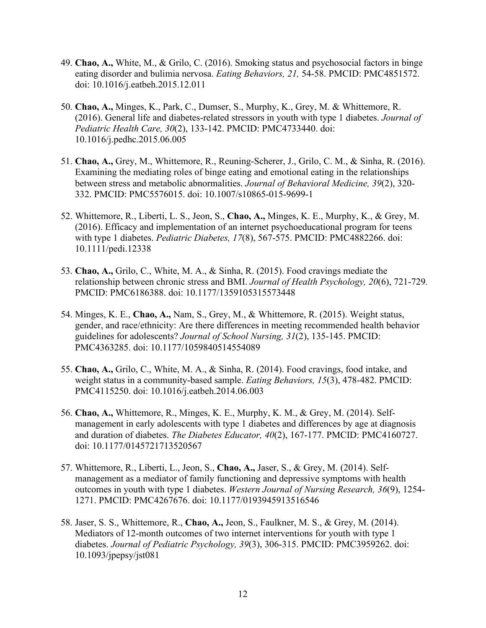- 49. **Chao, A.,** White, M., & Grilo, C. (2016). Smoking status and psychosocial factors in binge eating disorder and bulimia nervosa. *Eating Behaviors, 21,* 54-58. PMCID: PMC4851572. doi: 10.1016/j.eatbeh.2015.12.011
- 50. **Chao, A.,** Minges, K., Park, C., Dumser, S., Murphy, K., Grey, M. & Whittemore, R. (2016). General life and diabetes-related stressors in youth with type 1 diabetes. *Journal of Pediatric Health Care, 30*(2), 133-142. PMCID: PMC4733440. doi: 10.1016/j.pedhc.2015.06.005
- 51. **Chao, A.,** Grey, M., Whittemore, R., Reuning-Scherer, J., Grilo, C. M., & Sinha, R. (2016). Examining the mediating roles of binge eating and emotional eating in the relationships between stress and metabolic abnormalities. *Journal of Behavioral Medicine, 39*(2), 320- 332. PMCID: PMC5576015. doi: 10.1007/s10865-015-9699-1
- 52. Whittemore, R., Liberti, L. S., Jeon, S., **Chao, A.,** Minges, K. E., Murphy, K., & Grey, M. (2016). Efficacy and implementation of an internet psychoeducational program for teens with type 1 diabetes. *Pediatric Diabetes, 17*(8), 567-575. PMCID: PMC4882266. doi: 10.1111/pedi.12338
- 53. **Chao, A.,** Grilo, C., White, M. A., & Sinha, R. (2015). Food cravings mediate the relationship between chronic stress and BMI. *Journal of Health Psychology, 20*(6), 721-729*.*  PMCID: PMC6186388. doi: 10.1177/1359105315573448
- 54. Minges, K. E., **Chao, A.,** Nam, S., Grey, M., & Whittemore, R. (2015). Weight status, gender, and race/ethnicity: Are there differences in meeting recommended health behavior guidelines for adolescents? *Journal of School Nursing, 31*(2), 135-145. PMCID: PMC4363285. doi: 10.1177/1059840514554089
- 55. **Chao, A.,** Grilo, C., White, M. A., & Sinha, R. (2014). Food cravings, food intake, and weight status in a community-based sample. *Eating Behaviors, 15*(3), 478-482. PMCID: PMC4115250. doi: 10.1016/j.eatbeh.2014.06.003
- 56. **Chao, A.,** Whittemore, R., Minges, K. E., Murphy, K. M., & Grey, M. (2014). Selfmanagement in early adolescents with type 1 diabetes and differences by age at diagnosis and duration of diabetes. *The Diabetes Educator, 40*(2), 167-177. PMCID: PMC4160727. doi: 10.1177/0145721713520567
- 57. Whittemore, R., Liberti, L., Jeon, S., **Chao, A.,** Jaser, S., & Grey, M. (2014). Selfmanagement as a mediator of family functioning and depressive symptoms with health outcomes in youth with type 1 diabetes. *Western Journal of Nursing Research, 36*(9), 1254- 1271. PMCID: PMC4267676. doi: 10.1177/0193945913516546
- 58. Jaser, S. S., Whittemore, R., **Chao, A.,** Jeon, S., Faulkner, M. S., & Grey, M. (2014). Mediators of 12-month outcomes of two internet interventions for youth with type 1 diabetes. *Journal of Pediatric Psychology, 39*(3), 306-315. PMCID: PMC3959262. doi: 10.1093/jpepsy/jst081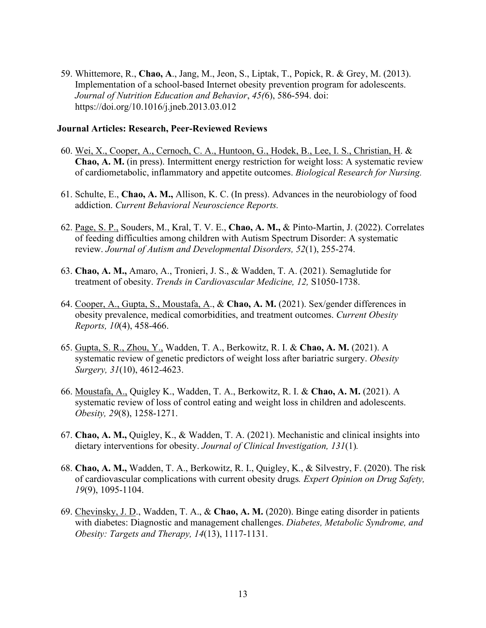59. Whittemore, R., **Chao, A**., Jang, M., Jeon, S., Liptak, T., Popick, R. & Grey, M. (2013). Implementation of a school-based Internet obesity prevention program for adolescents. *Journal of Nutrition Education and Behavior*, *45(*6), 586-594. doi: https://doi.org/10.1016/j.jneb.2013.03.012

#### **Journal Articles: Research, Peer-Reviewed Reviews**

- 60. Wei, X., Cooper, A., Cernoch, C. A., Huntoon, G., Hodek, B., Lee, I. S., Christian, H. & **Chao, A. M.** (in press). Intermittent energy restriction for weight loss: A systematic review of cardiometabolic, inflammatory and appetite outcomes. *Biological Research for Nursing.*
- 61. Schulte, E., **Chao, A. M.,** Allison, K. C. (In press). Advances in the neurobiology of food addiction. *Current Behavioral Neuroscience Reports.*
- 62. Page, S. P., Souders, M., Kral, T. V. E., **Chao, A. M.,** & Pinto-Martin, J. (2022). Correlates of feeding difficulties among children with Autism Spectrum Disorder: A systematic review. *Journal of Autism and Developmental Disorders, 52*(1), 255-274.
- 63. **Chao, A. M.,** Amaro, A., Tronieri, J. S., & Wadden, T. A. (2021). Semaglutide for treatment of obesity. *Trends in Cardiovascular Medicine, 12,* S1050-1738.
- 64. Cooper, A., Gupta, S., Moustafa, A., & **Chao, A. M.** (2021). Sex/gender differences in obesity prevalence, medical comorbidities, and treatment outcomes. *Current Obesity Reports, 10*(4), 458-466.
- 65. Gupta, S. R., Zhou, Y., Wadden, T. A., Berkowitz, R. I. & **Chao, A. M.** (2021). A systematic review of genetic predictors of weight loss after bariatric surgery. *Obesity Surgery, 31*(10), 4612-4623.
- 66. Moustafa, A., Quigley K., Wadden, T. A., Berkowitz, R. I. & **Chao, A. M.** (2021). A systematic review of loss of control eating and weight loss in children and adolescents. *Obesity, 29*(8), 1258-1271.
- 67. **Chao, A. M.,** Quigley, K., & Wadden, T. A. (2021). Mechanistic and clinical insights into dietary interventions for obesity. *Journal of Clinical Investigation, 131*(1)*.*
- 68. **Chao, A. M.,** Wadden, T. A., Berkowitz, R. I., Quigley, K., & Silvestry, F. (2020). The risk of cardiovascular complications with current obesity drugs*. Expert Opinion on Drug Safety, 19*(9), 1095-1104.
- 69. Chevinsky, J. D., Wadden, T. A., & **Chao, A. M.** (2020). Binge eating disorder in patients with diabetes: Diagnostic and management challenges. *Diabetes, Metabolic Syndrome, and Obesity: Targets and Therapy, 14*(13), 1117-1131.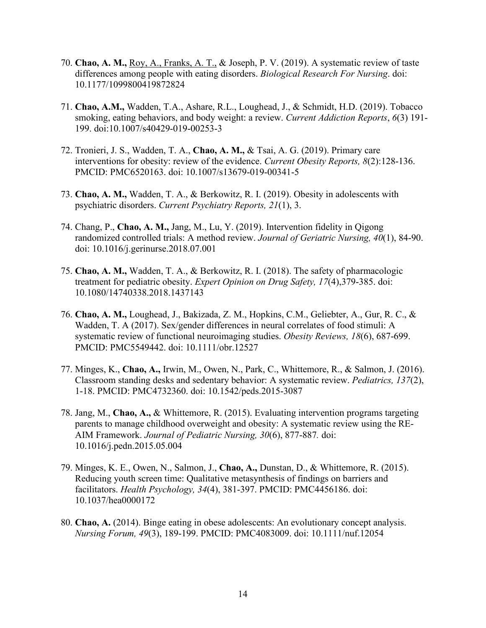- 70. **Chao, A. M.,** Roy, A., Franks, A. T., & Joseph, P. V. (2019). A systematic review of taste differences among people with eating disorders. *Biological Research For Nursing*. doi: 10.1177/1099800419872824
- 71. **Chao, A.M.,** Wadden, T.A., Ashare, R.L., Loughead, J., & Schmidt, H.D. (2019). Tobacco smoking, eating behaviors, and body weight: a review. *Current Addiction Reports*, *6*(3) 191- 199. doi:10.1007/s40429-019-00253-3
- 72. Tronieri, J. S., Wadden, T. A., **Chao, A. M.,** & Tsai, A. G. (2019). Primary care interventions for obesity: review of the evidence. *Current Obesity Reports, 8*(2):128-136. PMCID: PMC6520163. doi: 10.1007/s13679-019-00341-5
- 73. **Chao, A. M.,** Wadden, T. A., & Berkowitz, R. I. (2019). Obesity in adolescents with psychiatric disorders. *Current Psychiatry Reports, 21*(1), 3.
- 74. Chang, P., **Chao, A. M.,** Jang, M., Lu, Y. (2019). Intervention fidelity in Qigong randomized controlled trials: A method review. *Journal of Geriatric Nursing, 40*(1), 84-90. doi: 10.1016/j.gerinurse.2018.07.001
- 75. **Chao, A. M.,** Wadden, T. A., & Berkowitz, R. I. (2018). The safety of pharmacologic treatment for pediatric obesity. *Expert Opinion on Drug Safety, 17*(4),379-385. doi: 10.1080/14740338.2018.1437143
- 76. **Chao, A. M.,** Loughead, J., Bakizada, Z. M., Hopkins, C.M., Geliebter, A., Gur, R. C., & Wadden, T. A (2017). Sex/gender differences in neural correlates of food stimuli: A systematic review of functional neuroimaging studies. *Obesity Reviews, 18*(6), 687-699. PMCID: PMC5549442. doi: 10.1111/obr.12527
- 77. Minges, K., **Chao, A.,** Irwin, M., Owen, N., Park, C., Whittemore, R., & Salmon, J. (2016). Classroom standing desks and sedentary behavior: A systematic review. *Pediatrics, 137*(2), 1-18. PMCID: PMC4732360. doi: 10.1542/peds.2015-3087
- 78. Jang, M., **Chao, A.,** & Whittemore, R. (2015). Evaluating intervention programs targeting parents to manage childhood overweight and obesity: A systematic review using the RE-AIM Framework. *Journal of Pediatric Nursing, 30*(6), 877-887*.* doi: 10.1016/j.pedn.2015.05.004
- 79. Minges, K. E., Owen, N., Salmon, J., **Chao, A.,** Dunstan, D., & Whittemore, R. (2015). Reducing youth screen time: Qualitative metasynthesis of findings on barriers and facilitators. *Health Psychology, 34*(4), 381-397. PMCID: PMC4456186. doi: 10.1037/hea0000172
- 80. **Chao, A.** (2014). Binge eating in obese adolescents: An evolutionary concept analysis. *Nursing Forum, 49*(3), 189-199. PMCID: PMC4083009. doi: 10.1111/nuf.12054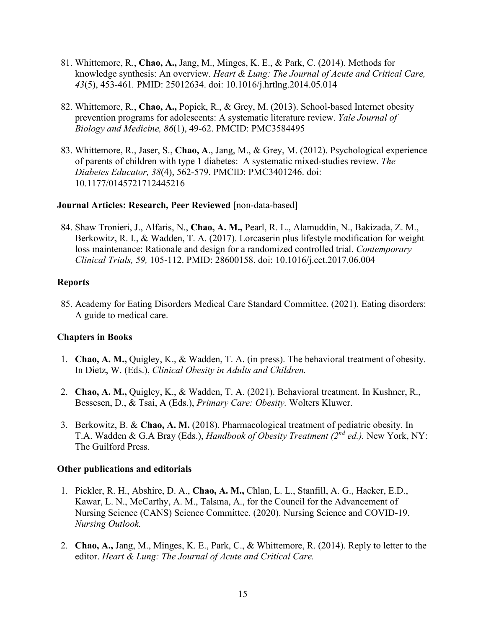- 81. Whittemore, R., **Chao, A.,** Jang, M., Minges, K. E., & Park, C. (2014). Methods for knowledge synthesis: An overview. *Heart & Lung: The Journal of Acute and Critical Care, 43*(5), 453-461*.* PMID: 25012634. doi: 10.1016/j.hrtlng.2014.05.014
- 82. Whittemore, R., **Chao, A.,** Popick, R., & Grey, M. (2013). School-based Internet obesity prevention programs for adolescents: A systematic literature review. *Yale Journal of Biology and Medicine, 86*(1), 49-62. PMCID: PMC3584495
- 83. Whittemore, R., Jaser, S., **Chao, A**., Jang, M., & Grey, M. (2012). Psychological experience of parents of children with type 1 diabetes: A systematic mixed-studies review. *The Diabetes Educator, 38*(4), 562-579. PMCID: PMC3401246. doi: 10.1177/0145721712445216

#### **Journal Articles: Research, Peer Reviewed** [non-data-based]

84. Shaw Tronieri, J., Alfaris, N., **Chao, A. M.,** Pearl, R. L., Alamuddin, N., Bakizada, Z. M., Berkowitz, R. I., & Wadden, T. A. (2017). Lorcaserin plus lifestyle modification for weight loss maintenance: Rationale and design for a randomized controlled trial. *Contemporary Clinical Trials, 59,* 105-112. PMID: 28600158. doi: 10.1016/j.cct.2017.06.004

#### **Reports**

85. Academy for Eating Disorders Medical Care Standard Committee. (2021). Eating disorders: A guide to medical care.

#### **Chapters in Books**

- 1. **Chao, A. M.,** Quigley, K., & Wadden, T. A. (in press). The behavioral treatment of obesity. In Dietz, W. (Eds.), *Clinical Obesity in Adults and Children.*
- 2. **Chao, A. M.,** Quigley, K., & Wadden, T. A. (2021). Behavioral treatment. In Kushner, R., Bessesen, D., & Tsai, A (Eds.), *Primary Care: Obesity.* Wolters Kluwer.
- 3. Berkowitz, B. & **Chao, A. M.** (2018). Pharmacological treatment of pediatric obesity. In T.A. Wadden & G.A Bray (Eds.), *Handbook of Obesity Treatment (2nd ed.).* New York, NY: The Guilford Press.

#### **Other publications and editorials**

- 1. Pickler, R. H., Abshire, D. A., **Chao, A. M.,** Chlan, L. L., Stanfill, A. G., Hacker, E.D., Kawar, L. N., McCarthy, A. M., Talsma, A., for the Council for the Advancement of Nursing Science (CANS) Science Committee. (2020). Nursing Science and COVID-19. *Nursing Outlook.*
- 2. **Chao, A.,** Jang, M., Minges, K. E., Park, C., & Whittemore, R. (2014). Reply to letter to the editor. *Heart & Lung: The Journal of Acute and Critical Care.*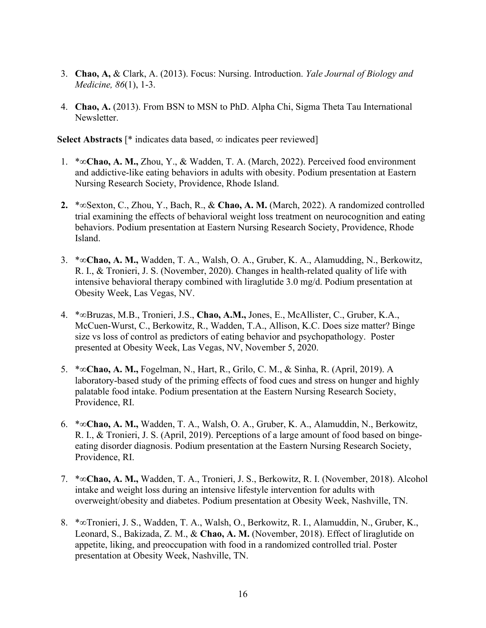- 3. **Chao, A,** & Clark, A. (2013). Focus: Nursing. Introduction. *Yale Journal of Biology and Medicine, 86*(1), 1-3.
- 4. **Chao, A.** (2013). From BSN to MSN to PhD. Alpha Chi, Sigma Theta Tau International Newsletter.

**Select Abstracts** [\* indicates data based, ∞ indicates peer reviewed]

- 1. \*∞**Chao, A. M.,** Zhou, Y., & Wadden, T. A. (March, 2022). Perceived food environment and addictive-like eating behaviors in adults with obesity. Podium presentation at Eastern Nursing Research Society, Providence, Rhode Island.
- **2.** \*∞Sexton, C., Zhou, Y., Bach, R., & **Chao, A. M.** (March, 2022). A randomized controlled trial examining the effects of behavioral weight loss treatment on neurocognition and eating behaviors. Podium presentation at Eastern Nursing Research Society, Providence, Rhode Island.
- 3. \*∞**Chao, A. M.,** Wadden, T. A., Walsh, O. A., Gruber, K. A., Alamudding, N., Berkowitz, R. I., & Tronieri, J. S. (November, 2020). Changes in health-related quality of life with intensive behavioral therapy combined with liraglutide 3.0 mg/d. Podium presentation at Obesity Week, Las Vegas, NV.
- 4. \*∞Bruzas, M.B., Tronieri, J.S., **Chao, A.M.,** Jones, E., McAllister, C., Gruber, K.A., McCuen-Wurst, C., Berkowitz, R., Wadden, T.A., Allison, K.C. Does size matter? Binge size vs loss of control as predictors of eating behavior and psychopathology. Poster presented at Obesity Week, Las Vegas, NV, November 5, 2020.
- 5. \*∞**Chao, A. M.,** Fogelman, N., Hart, R., Grilo, C. M., & Sinha, R. (April, 2019). A laboratory-based study of the priming effects of food cues and stress on hunger and highly palatable food intake. Podium presentation at the Eastern Nursing Research Society, Providence, RI.
- 6. \*∞**Chao, A. M.,** Wadden, T. A., Walsh, O. A., Gruber, K. A., Alamuddin, N., Berkowitz, R. I., & Tronieri, J. S. (April, 2019). Perceptions of a large amount of food based on bingeeating disorder diagnosis. Podium presentation at the Eastern Nursing Research Society, Providence, RI.
- 7. \*∞**Chao, A. M.,** Wadden, T. A., Tronieri, J. S., Berkowitz, R. I. (November, 2018). Alcohol intake and weight loss during an intensive lifestyle intervention for adults with overweight/obesity and diabetes. Podium presentation at Obesity Week, Nashville, TN.
- 8. \*∞Tronieri, J. S., Wadden, T. A., Walsh, O., Berkowitz, R. I., Alamuddin, N., Gruber, K., Leonard, S., Bakizada, Z. M., & **Chao, A. M.** (November, 2018). Effect of liraglutide on appetite, liking, and preoccupation with food in a randomized controlled trial. Poster presentation at Obesity Week, Nashville, TN.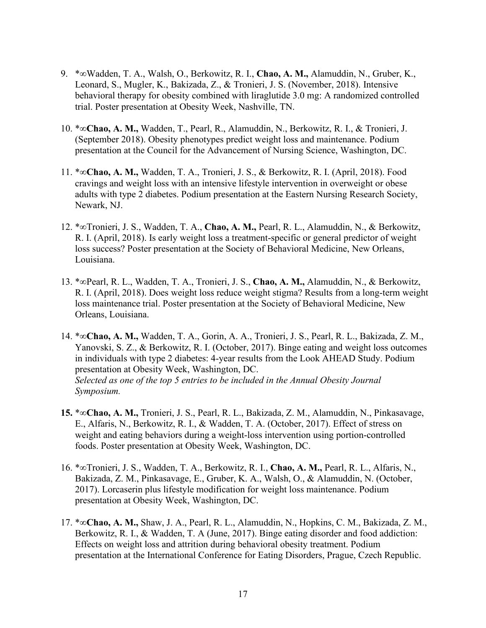- 9. \*∞Wadden, T. A., Walsh, O., Berkowitz, R. I., **Chao, A. M.,** Alamuddin, N., Gruber, K., Leonard, S., Mugler, K., Bakizada, Z., & Tronieri, J. S. (November, 2018). Intensive behavioral therapy for obesity combined with liraglutide 3.0 mg: A randomized controlled trial. Poster presentation at Obesity Week, Nashville, TN.
- 10. \*∞**Chao, A. M.,** Wadden, T., Pearl, R., Alamuddin, N., Berkowitz, R. I., & Tronieri, J. (September 2018). Obesity phenotypes predict weight loss and maintenance. Podium presentation at the Council for the Advancement of Nursing Science, Washington, DC.
- 11. \*∞**Chao, A. M.,** Wadden, T. A., Tronieri, J. S., & Berkowitz, R. I. (April, 2018). Food cravings and weight loss with an intensive lifestyle intervention in overweight or obese adults with type 2 diabetes. Podium presentation at the Eastern Nursing Research Society, Newark, NJ.
- 12. \*∞Tronieri, J. S., Wadden, T. A., **Chao, A. M.,** Pearl, R. L., Alamuddin, N., & Berkowitz, R. I. (April, 2018). Is early weight loss a treatment-specific or general predictor of weight loss success? Poster presentation at the Society of Behavioral Medicine, New Orleans, Louisiana.
- 13. \*∞Pearl, R. L., Wadden, T. A., Tronieri, J. S., **Chao, A. M.,** Alamuddin, N., & Berkowitz, R. I. (April, 2018). Does weight loss reduce weight stigma? Results from a long-term weight loss maintenance trial. Poster presentation at the Society of Behavioral Medicine, New Orleans, Louisiana.
- 14. \*∞**Chao, A. M.,** Wadden, T. A., Gorin, A. A., Tronieri, J. S., Pearl, R. L., Bakizada, Z. M., Yanovski, S. Z., & Berkowitz, R. I. (October, 2017). Binge eating and weight loss outcomes in individuals with type 2 diabetes: 4-year results from the Look AHEAD Study. Podium presentation at Obesity Week, Washington, DC. *Selected as one of the top 5 entries to be included in the Annual Obesity Journal Symposium.*
- **15.** \*∞**Chao, A. M.,** Tronieri, J. S., Pearl, R. L., Bakizada, Z. M., Alamuddin, N., Pinkasavage, E., Alfaris, N., Berkowitz, R. I., & Wadden, T. A. (October, 2017). Effect of stress on weight and eating behaviors during a weight-loss intervention using portion-controlled foods. Poster presentation at Obesity Week, Washington, DC.
- 16. \*∞Tronieri, J. S., Wadden, T. A., Berkowitz, R. I., **Chao, A. M.,** Pearl, R. L., Alfaris, N., Bakizada, Z. M., Pinkasavage, E., Gruber, K. A., Walsh, O., & Alamuddin, N. (October, 2017). Lorcaserin plus lifestyle modification for weight loss maintenance. Podium presentation at Obesity Week, Washington, DC.
- 17. \*∞**Chao, A. M.,** Shaw, J. A., Pearl, R. L., Alamuddin, N., Hopkins, C. M., Bakizada, Z. M., Berkowitz, R. I., & Wadden, T. A (June, 2017). Binge eating disorder and food addiction: Effects on weight loss and attrition during behavioral obesity treatment. Podium presentation at the International Conference for Eating Disorders, Prague, Czech Republic.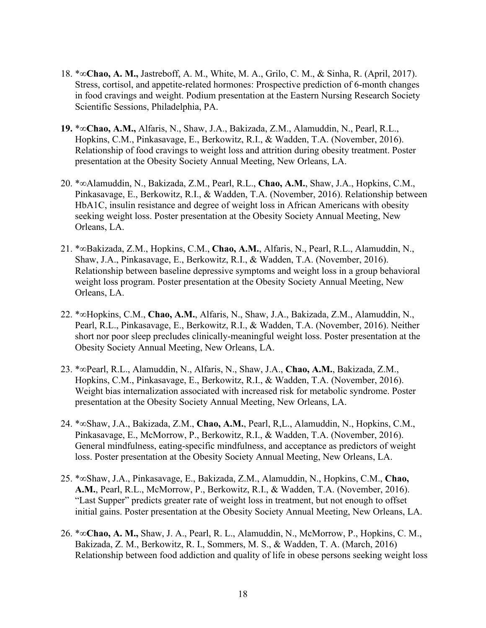- 18. \*∞**Chao, A. M.,** Jastreboff, A. M., White, M. A., Grilo, C. M., & Sinha, R. (April, 2017). Stress, cortisol, and appetite-related hormones: Prospective prediction of 6-month changes in food cravings and weight. Podium presentation at the Eastern Nursing Research Society Scientific Sessions, Philadelphia, PA.
- **19.** \*∞**Chao, A.M.,** Alfaris, N., Shaw, J.A., Bakizada, Z.M., Alamuddin, N., Pearl, R.L., Hopkins, C.M., Pinkasavage, E., Berkowitz, R.I., & Wadden, T.A. (November, 2016). Relationship of food cravings to weight loss and attrition during obesity treatment. Poster presentation at the Obesity Society Annual Meeting, New Orleans, LA.
- 20. \*∞Alamuddin, N., Bakizada, Z.M., Pearl, R.L., **Chao, A.M.**, Shaw, J.A., Hopkins, C.M., Pinkasavage, E., Berkowitz, R.I., & Wadden, T.A. (November, 2016). Relationship between HbA1C, insulin resistance and degree of weight loss in African Americans with obesity seeking weight loss. Poster presentation at the Obesity Society Annual Meeting, New Orleans, LA.
- 21. \*∞Bakizada, Z.M., Hopkins, C.M., **Chao, A.M.**, Alfaris, N., Pearl, R.L., Alamuddin, N., Shaw, J.A., Pinkasavage, E., Berkowitz, R.I., & Wadden, T.A. (November, 2016). Relationship between baseline depressive symptoms and weight loss in a group behavioral weight loss program. Poster presentation at the Obesity Society Annual Meeting, New Orleans, LA.
- 22. \*∞Hopkins, C.M., **Chao, A.M.**, Alfaris, N., Shaw, J.A., Bakizada, Z.M., Alamuddin, N., Pearl, R.L., Pinkasavage, E., Berkowitz, R.I., & Wadden, T.A. (November, 2016). Neither short nor poor sleep precludes clinically-meaningful weight loss. Poster presentation at the Obesity Society Annual Meeting, New Orleans, LA.
- 23. \*∞Pearl, R.L., Alamuddin, N., Alfaris, N., Shaw, J.A., **Chao, A.M.**, Bakizada, Z.M., Hopkins, C.M., Pinkasavage, E., Berkowitz, R.I., & Wadden, T.A. (November, 2016). Weight bias internalization associated with increased risk for metabolic syndrome. Poster presentation at the Obesity Society Annual Meeting, New Orleans, LA.
- 24. \*∞Shaw, J.A., Bakizada, Z.M., **Chao, A.M.**, Pearl, R,L., Alamuddin, N., Hopkins, C.M., Pinkasavage, E., McMorrow, P., Berkowitz, R.I., & Wadden, T.A. (November, 2016). General mindfulness, eating-specific mindfulness, and acceptance as predictors of weight loss. Poster presentation at the Obesity Society Annual Meeting, New Orleans, LA.
- 25. \*∞Shaw, J.A., Pinkasavage, E., Bakizada, Z.M., Alamuddin, N., Hopkins, C.M., **Chao, A.M.**, Pearl, R.L., McMorrow, P., Berkowitz, R.I., & Wadden, T.A. (November, 2016). "Last Supper" predicts greater rate of weight loss in treatment, but not enough to offset initial gains. Poster presentation at the Obesity Society Annual Meeting, New Orleans, LA.
- 26. \*∞**Chao, A. M.,** Shaw, J. A., Pearl, R. L., Alamuddin, N., McMorrow, P., Hopkins, C. M., Bakizada, Z. M., Berkowitz, R. I., Sommers, M. S., & Wadden, T. A. (March, 2016) Relationship between food addiction and quality of life in obese persons seeking weight loss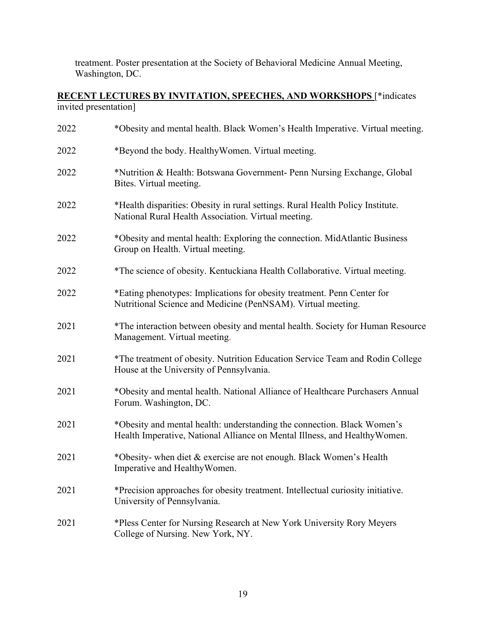treatment. Poster presentation at the Society of Behavioral Medicine Annual Meeting, Washington, DC.

#### **RECENT LECTURES BY INVITATION, SPEECHES, AND WORKSHOPS** [\*indicates invited presentation]

| 2022 | *Obesity and mental health. Black Women's Health Imperative. Virtual meeting.                                                                         |
|------|-------------------------------------------------------------------------------------------------------------------------------------------------------|
| 2022 | *Beyond the body. Healthy Women. Virtual meeting.                                                                                                     |
| 2022 | *Nutrition & Health: Botswana Government- Penn Nursing Exchange, Global<br>Bites. Virtual meeting.                                                    |
| 2022 | *Health disparities: Obesity in rural settings. Rural Health Policy Institute.<br>National Rural Health Association. Virtual meeting.                 |
| 2022 | *Obesity and mental health: Exploring the connection. MidAtlantic Business<br>Group on Health. Virtual meeting.                                       |
| 2022 | *The science of obesity. Kentuckiana Health Collaborative. Virtual meeting.                                                                           |
| 2022 | *Eating phenotypes: Implications for obesity treatment. Penn Center for<br>Nutritional Science and Medicine (PenNSAM). Virtual meeting.               |
| 2021 | *The interaction between obesity and mental health. Society for Human Resource<br>Management. Virtual meeting.                                        |
| 2021 | *The treatment of obesity. Nutrition Education Service Team and Rodin College<br>House at the University of Pennsylvania.                             |
| 2021 | *Obesity and mental health. National Alliance of Healthcare Purchasers Annual<br>Forum. Washington, DC.                                               |
| 2021 | *Obesity and mental health: understanding the connection. Black Women's<br>Health Imperative, National Alliance on Mental Illness, and Healthy Women. |
| 2021 | *Obesity- when diet & exercise are not enough. Black Women's Health<br>Imperative and HealthyWomen.                                                   |
| 2021 | *Precision approaches for obesity treatment. Intellectual curiosity initiative.<br>University of Pennsylvania.                                        |
| 2021 | *Pless Center for Nursing Research at New York University Rory Meyers<br>College of Nursing. New York, NY.                                            |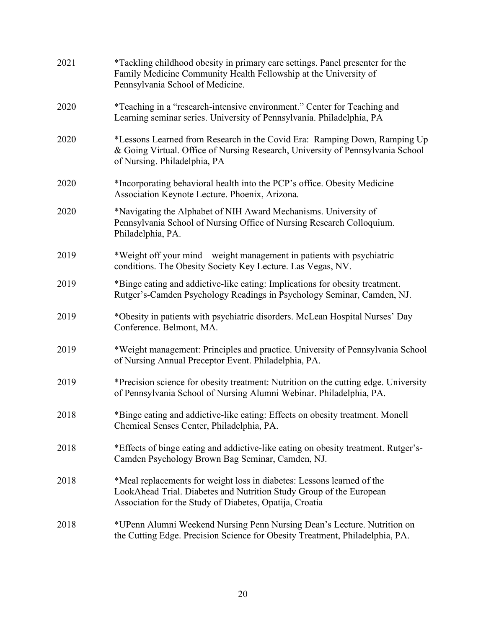| 2021 | *Tackling childhood obesity in primary care settings. Panel presenter for the<br>Family Medicine Community Health Fellowship at the University of<br>Pennsylvania School of Medicine.                    |
|------|----------------------------------------------------------------------------------------------------------------------------------------------------------------------------------------------------------|
| 2020 | *Teaching in a "research-intensive environment." Center for Teaching and<br>Learning seminar series. University of Pennsylvania. Philadelphia, PA                                                        |
| 2020 | *Lessons Learned from Research in the Covid Era: Ramping Down, Ramping Up<br>& Going Virtual. Office of Nursing Research, University of Pennsylvania School<br>of Nursing. Philadelphia, PA              |
| 2020 | *Incorporating behavioral health into the PCP's office. Obesity Medicine<br>Association Keynote Lecture. Phoenix, Arizona.                                                                               |
| 2020 | *Navigating the Alphabet of NIH Award Mechanisms. University of<br>Pennsylvania School of Nursing Office of Nursing Research Colloquium.<br>Philadelphia, PA.                                            |
| 2019 | *Weight off your mind - weight management in patients with psychiatric<br>conditions. The Obesity Society Key Lecture. Las Vegas, NV.                                                                    |
| 2019 | *Binge eating and addictive-like eating: Implications for obesity treatment.<br>Rutger's-Camden Psychology Readings in Psychology Seminar, Camden, NJ.                                                   |
| 2019 | *Obesity in patients with psychiatric disorders. McLean Hospital Nurses' Day<br>Conference. Belmont, MA.                                                                                                 |
| 2019 | *Weight management: Principles and practice. University of Pennsylvania School<br>of Nursing Annual Preceptor Event. Philadelphia, PA.                                                                   |
| 2019 | *Precision science for obesity treatment: Nutrition on the cutting edge. University<br>of Pennsylvania School of Nursing Alumni Webinar. Philadelphia, PA.                                               |
| 2018 | *Binge eating and addictive-like eating: Effects on obesity treatment. Monell<br>Chemical Senses Center, Philadelphia, PA.                                                                               |
| 2018 | *Effects of binge eating and addictive-like eating on obesity treatment. Rutger's-<br>Camden Psychology Brown Bag Seminar, Camden, NJ.                                                                   |
| 2018 | *Meal replacements for weight loss in diabetes: Lessons learned of the<br>LookAhead Trial. Diabetes and Nutrition Study Group of the European<br>Association for the Study of Diabetes, Opatija, Croatia |
| 2018 | *UPenn Alumni Weekend Nursing Penn Nursing Dean's Lecture. Nutrition on<br>the Cutting Edge. Precision Science for Obesity Treatment, Philadelphia, PA.                                                  |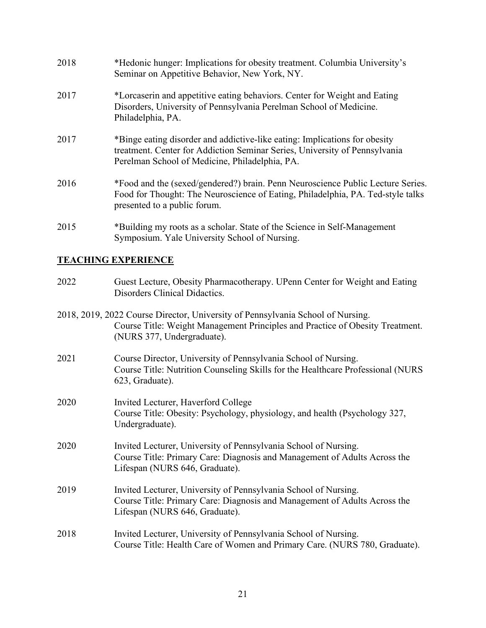| 2018 | *Hedonic hunger: Implications for obesity treatment. Columbia University's<br>Seminar on Appetitive Behavior, New York, NY.                                                                                |
|------|------------------------------------------------------------------------------------------------------------------------------------------------------------------------------------------------------------|
| 2017 | *Lorcaserin and appetitive eating behaviors. Center for Weight and Eating<br>Disorders, University of Pennsylvania Perelman School of Medicine.<br>Philadelphia, PA.                                       |
| 2017 | *Binge eating disorder and addictive-like eating: Implications for obesity<br>treatment. Center for Addiction Seminar Series, University of Pennsylvania<br>Perelman School of Medicine, Philadelphia, PA. |
| 2016 | *Food and the (sexed/gendered?) brain. Penn Neuroscience Public Lecture Series.<br>Food for Thought: The Neuroscience of Eating, Philadelphia, PA. Ted-style talks<br>presented to a public forum.         |
| 2015 | *Building my roots as a scholar. State of the Science in Self-Management<br>Symposium. Yale University School of Nursing.                                                                                  |

## **TEACHING EXPERIENCE**

| 2022 | Guest Lecture, Obesity Pharmacotherapy. UPenn Center for Weight and Eating<br>Disorders Clinical Didactics.                                                                                    |
|------|------------------------------------------------------------------------------------------------------------------------------------------------------------------------------------------------|
|      | 2018, 2019, 2022 Course Director, University of Pennsylvania School of Nursing.<br>Course Title: Weight Management Principles and Practice of Obesity Treatment.<br>(NURS 377, Undergraduate). |
| 2021 | Course Director, University of Pennsylvania School of Nursing.<br>Course Title: Nutrition Counseling Skills for the Healthcare Professional (NURS<br>623, Graduate).                           |
| 2020 | Invited Lecturer, Haverford College<br>Course Title: Obesity: Psychology, physiology, and health (Psychology 327,<br>Undergraduate).                                                           |
| 2020 | Invited Lecturer, University of Pennsylvania School of Nursing.<br>Course Title: Primary Care: Diagnosis and Management of Adults Across the<br>Lifespan (NURS 646, Graduate).                 |
| 2019 | Invited Lecturer, University of Pennsylvania School of Nursing.<br>Course Title: Primary Care: Diagnosis and Management of Adults Across the<br>Lifespan (NURS 646, Graduate).                 |
| 2018 | Invited Lecturer, University of Pennsylvania School of Nursing.<br>Course Title: Health Care of Women and Primary Care. (NURS 780, Graduate).                                                  |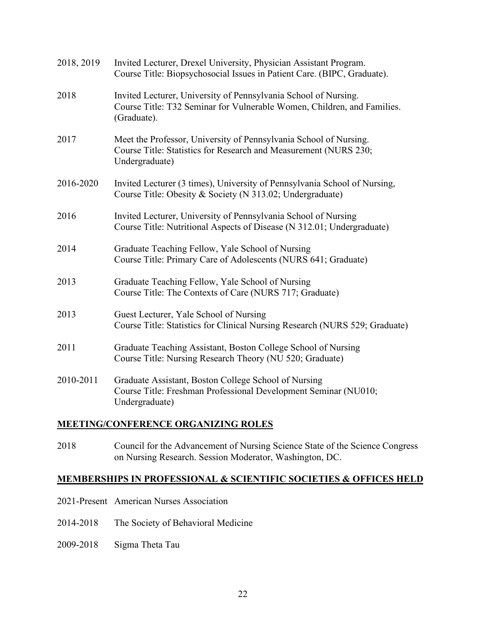| 2018, 2019 | Invited Lecturer, Drexel University, Physician Assistant Program.<br>Course Title: Biopsychosocial Issues in Patient Care. (BIPC, Graduate).              |
|------------|-----------------------------------------------------------------------------------------------------------------------------------------------------------|
| 2018       | Invited Lecturer, University of Pennsylvania School of Nursing.<br>Course Title: T32 Seminar for Vulnerable Women, Children, and Families.<br>(Graduate). |
| 2017       | Meet the Professor, University of Pennsylvania School of Nursing.<br>Course Title: Statistics for Research and Measurement (NURS 230;<br>Undergraduate)   |
| 2016-2020  | Invited Lecturer (3 times), University of Pennsylvania School of Nursing,<br>Course Title: Obesity & Society (N 313.02; Undergraduate)                    |
| 2016       | Invited Lecturer, University of Pennsylvania School of Nursing<br>Course Title: Nutritional Aspects of Disease (N 312.01; Undergraduate)                  |
| 2014       | Graduate Teaching Fellow, Yale School of Nursing<br>Course Title: Primary Care of Adolescents (NURS 641; Graduate)                                        |
| 2013       | Graduate Teaching Fellow, Yale School of Nursing<br>Course Title: The Contexts of Care (NURS 717; Graduate)                                               |
| 2013       | Guest Lecturer, Yale School of Nursing<br>Course Title: Statistics for Clinical Nursing Research (NURS 529; Graduate)                                     |
| 2011       | Graduate Teaching Assistant, Boston College School of Nursing<br>Course Title: Nursing Research Theory (NU 520; Graduate)                                 |
| 2010-2011  | Graduate Assistant, Boston College School of Nursing<br>Course Title: Freshman Professional Development Seminar (NU010;<br>Undergraduate)                 |

## **MEETING/CONFERENCE ORGANIZING ROLES**

2018 Council for the Advancement of Nursing Science State of the Science Congress on Nursing Research. Session Moderator, Washington, DC.

## **MEMBERSHIPS IN PROFESSIONAL & SCIENTIFIC SOCIETIES & OFFICES HELD**

- 2021-Present American Nurses Association
- 2014-2018 The Society of Behavioral Medicine
- 2009-2018 Sigma Theta Tau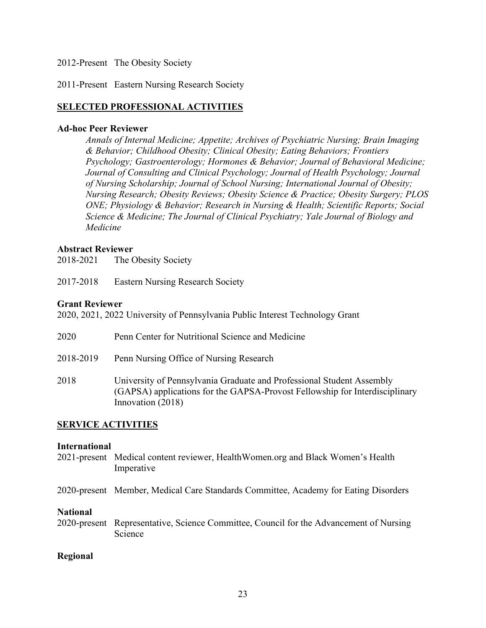#### 2012-Present The Obesity Society

#### 2011-Present Eastern Nursing Research Society

#### **SELECTED PROFESSIONAL ACTIVITIES**

#### **Ad-hoc Peer Reviewer**

*Annals of Internal Medicine; Appetite; Archives of Psychiatric Nursing; Brain Imaging & Behavior; Childhood Obesity; Clinical Obesity; Eating Behaviors; Frontiers Psychology; Gastroenterology; Hormones & Behavior; Journal of Behavioral Medicine; Journal of Consulting and Clinical Psychology; Journal of Health Psychology; Journal of Nursing Scholarship; Journal of School Nursing; International Journal of Obesity; Nursing Research; Obesity Reviews; Obesity Science & Practice; Obesity Surgery; PLOS ONE; Physiology & Behavior; Research in Nursing & Health; Scientific Reports; Social Science & Medicine; The Journal of Clinical Psychiatry; Yale Journal of Biology and Medicine*

#### **Abstract Reviewer**

2018-2021 The Obesity Society

2017-2018 Eastern Nursing Research Society

#### **Grant Reviewer**

2020, 2021, 2022 University of Pennsylvania Public Interest Technology Grant

| 2020      | Penn Center for Nutritional Science and Medicine                                                                                                                          |
|-----------|---------------------------------------------------------------------------------------------------------------------------------------------------------------------------|
| 2018-2019 | Penn Nursing Office of Nursing Research                                                                                                                                   |
| 2018      | University of Pennsylvania Graduate and Professional Student Assembly<br>(GAPSA) applications for the GAPSA-Provost Fellowship for Interdisciplinary<br>Innovation (2018) |

#### **SERVICE ACTIVITIES**

#### **International**

- 2021-present Medical content reviewer, HealthWomen.org and Black Women's Health Imperative
- 2020-present Member, Medical Care Standards Committee, Academy for Eating Disorders

#### **National**

2020-present Representative, Science Committee, Council for the Advancement of Nursing Science

#### **Regional**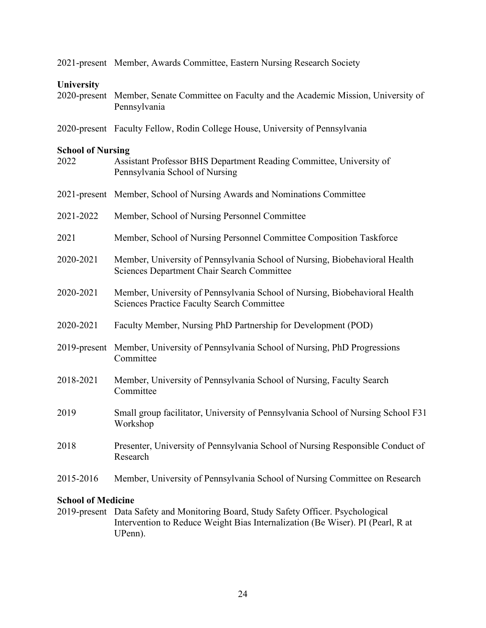|                                  | 2021-present Member, Awards Committee, Eastern Nursing Research Society                                                         |
|----------------------------------|---------------------------------------------------------------------------------------------------------------------------------|
| University<br>2020-present       | Member, Senate Committee on Faculty and the Academic Mission, University of<br>Pennsylvania                                     |
|                                  | 2020-present Faculty Fellow, Rodin College House, University of Pennsylvania                                                    |
| <b>School of Nursing</b><br>2022 | Assistant Professor BHS Department Reading Committee, University of<br>Pennsylvania School of Nursing                           |
|                                  | 2021-present Member, School of Nursing Awards and Nominations Committee                                                         |
| 2021-2022                        | Member, School of Nursing Personnel Committee                                                                                   |
| 2021                             | Member, School of Nursing Personnel Committee Composition Taskforce                                                             |
| 2020-2021                        | Member, University of Pennsylvania School of Nursing, Biobehavioral Health<br><b>Sciences Department Chair Search Committee</b> |
| 2020-2021                        | Member, University of Pennsylvania School of Nursing, Biobehavioral Health<br><b>Sciences Practice Faculty Search Committee</b> |
| 2020-2021                        | Faculty Member, Nursing PhD Partnership for Development (POD)                                                                   |
| 2019-present                     | Member, University of Pennsylvania School of Nursing, PhD Progressions<br>Committee                                             |
| 2018-2021                        | Member, University of Pennsylvania School of Nursing, Faculty Search<br>Committee                                               |
| 2019                             | Small group facilitator, University of Pennsylvania School of Nursing School F31<br>Workshop                                    |
| 2018                             | Presenter, University of Pennsylvania School of Nursing Responsible Conduct of<br>Research                                      |
| 2015-2016                        | Member, University of Pennsylvania School of Nursing Committee on Research                                                      |

## **School of Medicine**

2019-present Data Safety and Monitoring Board, Study Safety Officer. Psychological Intervention to Reduce Weight Bias Internalization (Be Wiser). PI (Pearl, R at UPenn).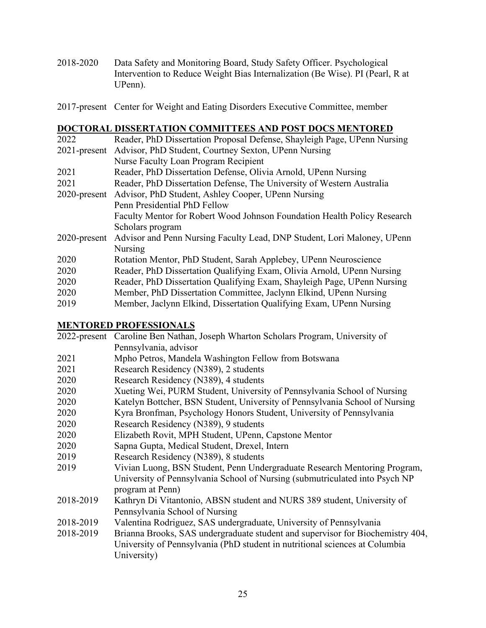- 2018-2020 Data Safety and Monitoring Board, Study Safety Officer. Psychological Intervention to Reduce Weight Bias Internalization (Be Wise). PI (Pearl, R at UPenn).
- 2017-present Center for Weight and Eating Disorders Executive Committee, member

## **DOCTORAL DISSERTATION COMMITTEES AND POST DOCS MENTORED**

| 2022            | Reader, PhD Dissertation Proposal Defense, Shayleigh Page, UPenn Nursing |
|-----------------|--------------------------------------------------------------------------|
| $2021$ -present | Advisor, PhD Student, Courtney Sexton, UPenn Nursing                     |
|                 | Nurse Faculty Loan Program Recipient                                     |
| 2021            | Reader, PhD Dissertation Defense, Olivia Arnold, UPenn Nursing           |
| 2021            | Reader, PhD Dissertation Defense, The University of Western Australia    |
| $2020$ -present | Advisor, PhD Student, Ashley Cooper, UPenn Nursing                       |
|                 | Penn Presidential PhD Fellow                                             |
|                 | Faculty Mentor for Robert Wood Johnson Foundation Health Policy Research |
|                 | Scholars program                                                         |
| $2020$ -present | Advisor and Penn Nursing Faculty Lead, DNP Student, Lori Maloney, UPenn  |
|                 | Nursing                                                                  |
| 2020            | Rotation Mentor, PhD Student, Sarah Applebey, UPenn Neuroscience         |
| 2020            | Reader, PhD Dissertation Qualifying Exam, Olivia Arnold, UPenn Nursing   |
| 2020            | Reader, PhD Dissertation Qualifying Exam, Shayleigh Page, UPenn Nursing  |
| 2020            | Member, PhD Dissertation Committee, Jaclynn Elkind, UPenn Nursing        |
| 2019            | Member, Jaclynn Elkind, Dissertation Qualifying Exam, UPenn Nursing      |

#### **MENTORED PROFESSIONALS**

|           | 2022-present Caroline Ben Nathan, Joseph Wharton Scholars Program, University of |
|-----------|----------------------------------------------------------------------------------|
|           | Pennsylvania, advisor                                                            |
| 2021      | Mpho Petros, Mandela Washington Fellow from Botswana                             |
| 2021      | Research Residency (N389), 2 students                                            |
| 2020      | Research Residency (N389), 4 students                                            |
| 2020      | Xueting Wei, PURM Student, University of Pennsylvania School of Nursing          |
| 2020      | Katelyn Bottcher, BSN Student, University of Pennsylvania School of Nursing      |
| 2020      | Kyra Bronfman, Psychology Honors Student, University of Pennsylvania             |
| 2020      | Research Residency (N389), 9 students                                            |
| 2020      | Elizabeth Rovit, MPH Student, UPenn, Capstone Mentor                             |
| 2020      | Sapna Gupta, Medical Student, Drexel, Intern                                     |
| 2019      | Research Residency (N389), 8 students                                            |
| 2019      | Vivian Luong, BSN Student, Penn Undergraduate Research Mentoring Program,        |
|           | University of Pennsylvania School of Nursing (submutriculated into Psych NP      |
|           | program at Penn)                                                                 |
| 2018-2019 | Kathryn Di Vitantonio, ABSN student and NURS 389 student, University of          |
|           | Pennsylvania School of Nursing                                                   |
| 2018-2019 | Valentina Rodriguez, SAS undergraduate, University of Pennsylvania               |
| 2018-2019 | Brianna Brooks, SAS undergraduate student and supervisor for Biochemistry 404,   |
|           | University of Pennsylvania (PhD student in nutritional sciences at Columbia      |
|           | University)                                                                      |